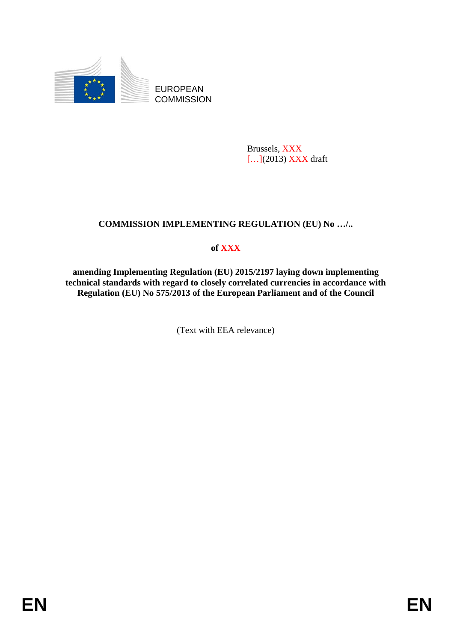

EUROPEAN **COMMISSION** 

> Brussels, XXX [...](2013) XXX draft

# **COMMISSION IMPLEMENTING REGULATION (EU) No …/..**

# **of XXX**

**amending Implementing Regulation (EU) 2015/2197 laying down implementing technical standards with regard to closely correlated currencies in accordance with Regulation (EU) No 575/2013 of the European Parliament and of the Council**

(Text with EEA relevance)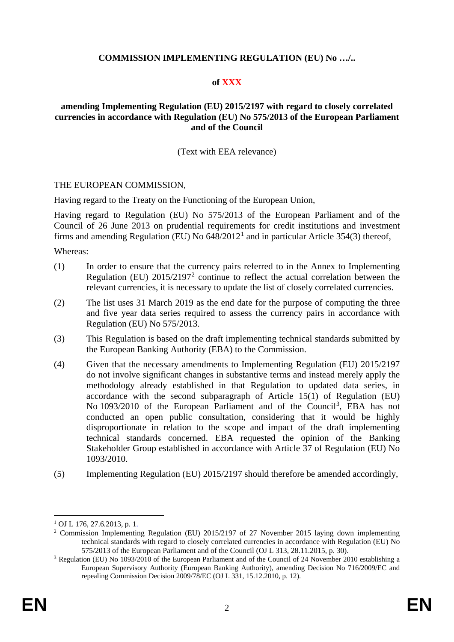#### **COMMISSION IMPLEMENTING REGULATION (EU) No …/..**

#### **of XXX**

### **amending Implementing Regulation (EU) 2015/2197 with regard to closely correlated currencies in accordance with Regulation (EU) No 575/2013 of the European Parliament and of the Council**

#### (Text with EEA relevance)

#### THE EUROPEAN COMMISSION,

Having regard to the Treaty on the Functioning of the European Union,

Having regard to Regulation (EU) No 575/2013 of the European Parliament and of the Council of 26 June 2013 on prudential requirements for credit institutions and investment firms and amending Regulation (EU) No  $648/2012<sup>1</sup>$  $648/2012<sup>1</sup>$  $648/2012<sup>1</sup>$  and in particular Article 354(3) thereof,

Whereas:

- (1) In order to ensure that the currency pairs referred to in the Annex to Implementing Regulation (EU)  $2015/2197<sup>2</sup>$  $2015/2197<sup>2</sup>$  continue to reflect the actual correlation between the relevant currencies, it is necessary to update the list of closely correlated currencies.
- (2) The list uses 31 March 2019 as the end date for the purpose of computing the three and five year data series required to assess the currency pairs in accordance with Regulation (EU) No 575/2013.
- (3) This Regulation is based on the draft implementing technical standards submitted by the European Banking Authority (EBA) to the Commission.
- (4) Given that the necessary amendments to Implementing Regulation (EU) 2015/2197 do not involve significant changes in substantive terms and instead merely apply the methodology already established in that Regulation to updated data series, in accordance with the second subparagraph of Article 15(1) of Regulation (EU) No 109[3](#page-1-2)/2010 of the European Parliament and of the Council<sup>3</sup>, EBA has not conducted an open public consultation, considering that it would be highly disproportionate in relation to the scope and impact of the draft implementing technical standards concerned. EBA requested the opinion of the Banking Stakeholder Group established in accordance with Article 37 of Regulation (EU) No 1093/2010.
- (5) Implementing Regulation (EU) 2015/2197 should therefore be amended accordingly,

<span id="page-1-0"></span> $1$  OJ L [176, 27.6.2013, p.](http://eur-lex.europa.eu/legal-content/EN/AUTO/?uri=OJ:L:2013:176:TOC) 1.

<span id="page-1-1"></span><sup>2</sup> Commission Implementing Regulation (EU) 2015/2197 of 27 November 2015 laying down implementing technical standards with regard to closely correlated currencies in accordance with Regulation (EU) No 575/2013 of the European Parliament and of the Council (OJ L 313, 28.11.2015, p. 30).

<span id="page-1-2"></span><sup>3</sup> Regulation (EU) No 1093/2010 of the European Parliament and of the Council of 24 November 2010 establishing a European Supervisory Authority (European Banking Authority), amending Decision No 716/2009/EC and repealing Commission Decision 2009/78/EC (OJ L 331, 15.12.2010, p. 12).